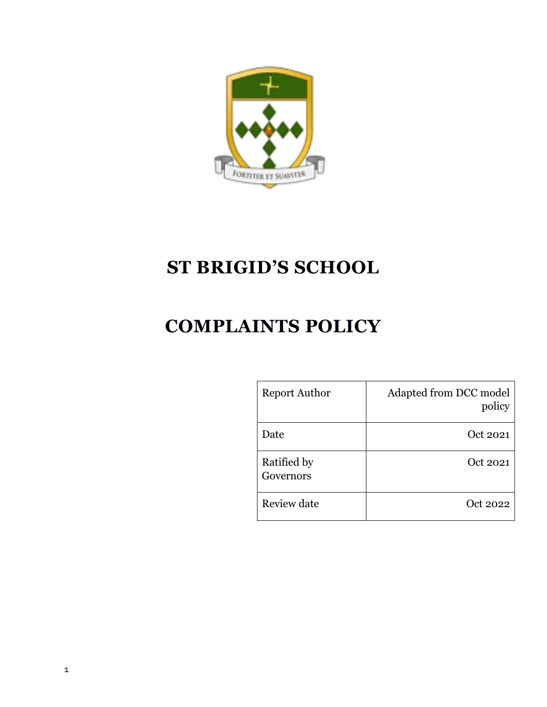

# **ST BRIGID'S SCHOOL**

# **COMPLAINTS POLICY**

| <b>Report Author</b>     | Adapted from DCC model<br>policy |
|--------------------------|----------------------------------|
| Date                     | Oct 2021                         |
| Ratified by<br>Governors | Oct 2021                         |
| Review date              | Oct 2022                         |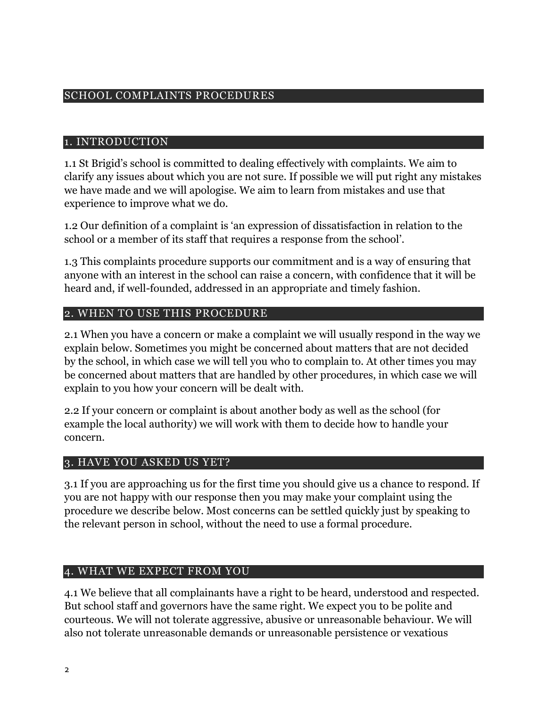#### SCHOOL COMPLAINTS PROCEDURES

#### 1. INTRODUCTION

1.1 St Brigid's school is committed to dealing effectively with complaints. We aim to clarify any issues about which you are not sure. If possible we will put right any mistakes we have made and we will apologise. We aim to learn from mistakes and use that experience to improve what we do.

1.2 Our definition of a complaint is 'an expression of dissatisfaction in relation to the school or a member of its staff that requires a response from the school'.

1.3 This complaints procedure supports our commitment and is a way of ensuring that anyone with an interest in the school can raise a concern, with confidence that it will be heard and, if well-founded, addressed in an appropriate and timely fashion.

#### 2. WHEN TO USE THIS PROCEDURE

2.1 When you have a concern or make a complaint we will usually respond in the way we explain below. Sometimes you might be concerned about matters that are not decided by the school, in which case we will tell you who to complain to. At other times you may be concerned about matters that are handled by other procedures, in which case we will explain to you how your concern will be dealt with.

2.2 If your concern or complaint is about another body as well as the school (for example the local authority) we will work with them to decide how to handle your concern.

#### 3. HAVE YOU ASKED US YET?

3.1 If you are approaching us for the first time you should give us a chance to respond. If you are not happy with our response then you may make your complaint using the procedure we describe below. Most concerns can be settled quickly just by speaking to the relevant person in school, without the need to use a formal procedure.

#### 4. WHAT WE EXPECT FROM YOU

4.1 We believe that all complainants have a right to be heard, understood and respected. But school staff and governors have the same right. We expect you to be polite and courteous. We will not tolerate aggressive, abusive or unreasonable behaviour. We will also not tolerate unreasonable demands or unreasonable persistence or vexatious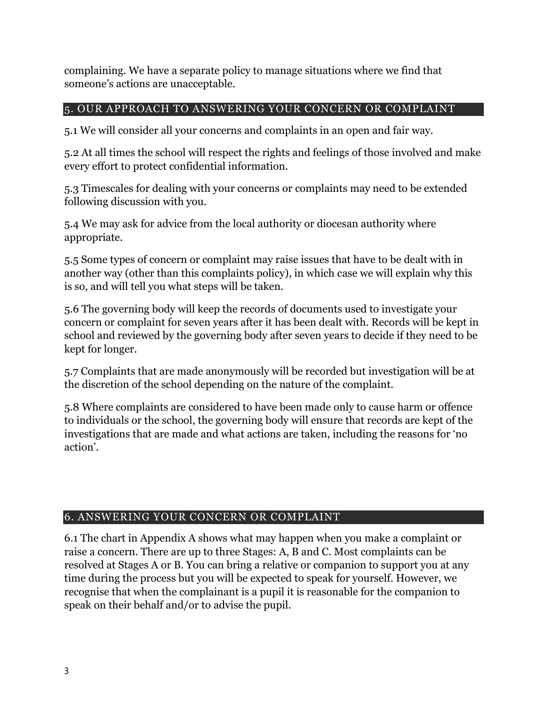complaining. We have a separate policy to manage situations where we find that someone's actions are unacceptable.

# 5. OUR APPROACH TO ANSWERING YOUR CONCERN OR COMPLAINT

5.1 We will consider all your concerns and complaints in an open and fair way.

5.2 At all times the school will respect the rights and feelings of those involved and make every effort to protect confidential information.

5.3 Timescales for dealing with your concerns or complaints may need to be extended following discussion with you.

5.4 We may ask for advice from the local authority or diocesan authority where appropriate.

5.5 Some types of concern or complaint may raise issues that have to be dealt with in another way (other than this complaints policy), in which case we will explain why this is so, and will tell you what steps will be taken.

5.6 The governing body will keep the records of documents used to investigate your concern or complaint for seven years after it has been dealt with. Records will be kept in school and reviewed by the governing body after seven years to decide if they need to be kept for longer.

5.7 Complaints that are made anonymously will be recorded but investigation will be at the discretion of the school depending on the nature of the complaint.

5.8 Where complaints are considered to have been made only to cause harm or offence to individuals or the school, the governing body will ensure that records are kept of the investigations that are made and what actions are taken, including the reasons for 'no action'.

# 6. ANSWERING YOUR CONCERN OR COMPLAINT

6.1 The chart in Appendix A shows what may happen when you make a complaint or raise a concern. There are up to three Stages: A, B and C. Most complaints can be resolved at Stages A or B. You can bring a relative or companion to support you at any time during the process but you will be expected to speak for yourself. However, we recognise that when the complainant is a pupil it is reasonable for the companion to speak on their behalf and/or to advise the pupil.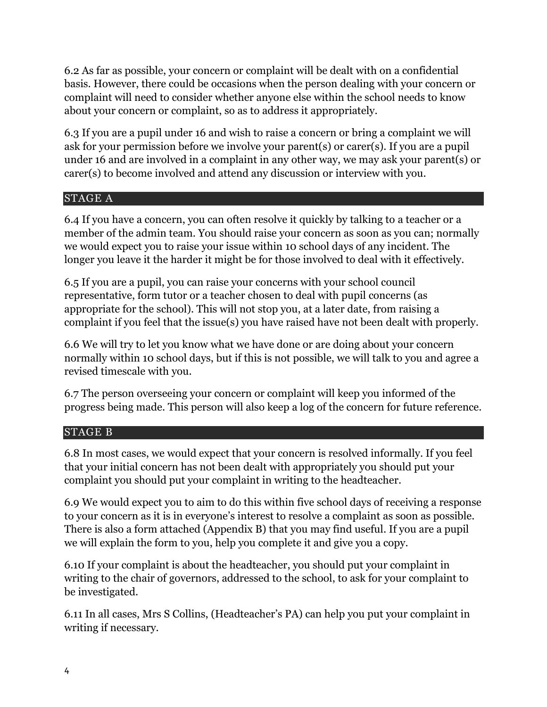6.2 As far as possible, your concern or complaint will be dealt with on a confidential basis. However, there could be occasions when the person dealing with your concern or complaint will need to consider whether anyone else within the school needs to know about your concern or complaint, so as to address it appropriately.

6.3 If you are a pupil under 16 and wish to raise a concern or bring a complaint we will ask for your permission before we involve your parent(s) or carer(s). If you are a pupil under 16 and are involved in a complaint in any other way, we may ask your parent(s) or carer(s) to become involved and attend any discussion or interview with you.

## STAGE A

6.4 If you have a concern, you can often resolve it quickly by talking to a teacher or a member of the admin team. You should raise your concern as soon as you can; normally we would expect you to raise your issue within 10 school days of any incident. The longer you leave it the harder it might be for those involved to deal with it effectively.

6.5 If you are a pupil, you can raise your concerns with your school council representative, form tutor or a teacher chosen to deal with pupil concerns (as appropriate for the school). This will not stop you, at a later date, from raising a complaint if you feel that the issue(s) you have raised have not been dealt with properly.

6.6 We will try to let you know what we have done or are doing about your concern normally within 10 school days, but if this is not possible, we will talk to you and agree a revised timescale with you.

6.7 The person overseeing your concern or complaint will keep you informed of the progress being made. This person will also keep a log of the concern for future reference.

# STAGE B

6.8 In most cases, we would expect that your concern is resolved informally. If you feel that your initial concern has not been dealt with appropriately you should put your complaint you should put your complaint in writing to the headteacher.

6.9 We would expect you to aim to do this within five school days of receiving a response to your concern as it is in everyone's interest to resolve a complaint as soon as possible. There is also a form attached (Appendix B) that you may find useful. If you are a pupil we will explain the form to you, help you complete it and give you a copy.

6.10 If your complaint is about the headteacher, you should put your complaint in writing to the chair of governors, addressed to the school, to ask for your complaint to be investigated.

6.11 In all cases, Mrs S Collins, (Headteacher's PA) can help you put your complaint in writing if necessary.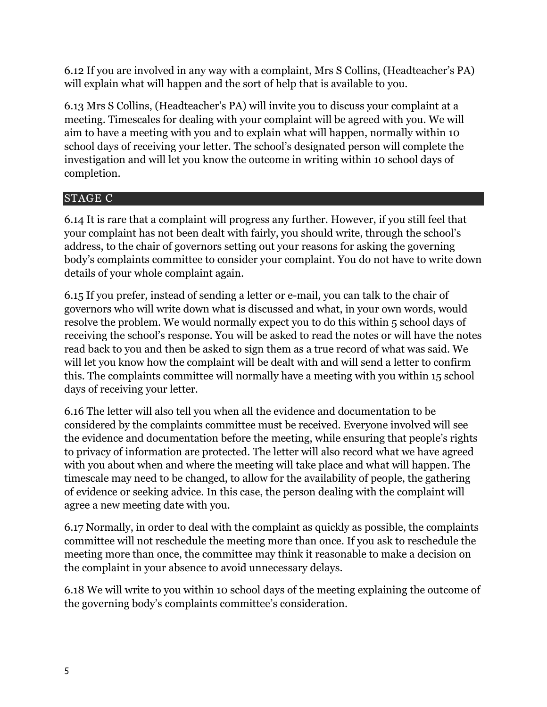6.12 If you are involved in any way with a complaint, Mrs S Collins, (Headteacher's PA) will explain what will happen and the sort of help that is available to you.

6.13 Mrs S Collins, (Headteacher's PA) will invite you to discuss your complaint at a meeting. Timescales for dealing with your complaint will be agreed with you. We will aim to have a meeting with you and to explain what will happen, normally within 10 school days of receiving your letter. The school's designated person will complete the investigation and will let you know the outcome in writing within 10 school days of completion.

# STAGE C

6.14 It is rare that a complaint will progress any further. However, if you still feel that your complaint has not been dealt with fairly, you should write, through the school's address, to the chair of governors setting out your reasons for asking the governing body's complaints committee to consider your complaint. You do not have to write down details of your whole complaint again.

6.15 If you prefer, instead of sending a letter or e-mail, you can talk to the chair of governors who will write down what is discussed and what, in your own words, would resolve the problem. We would normally expect you to do this within 5 school days of receiving the school's response. You will be asked to read the notes or will have the notes read back to you and then be asked to sign them as a true record of what was said. We will let you know how the complaint will be dealt with and will send a letter to confirm this. The complaints committee will normally have a meeting with you within 15 school days of receiving your letter.

6.16 The letter will also tell you when all the evidence and documentation to be considered by the complaints committee must be received. Everyone involved will see the evidence and documentation before the meeting, while ensuring that people's rights to privacy of information are protected. The letter will also record what we have agreed with you about when and where the meeting will take place and what will happen. The timescale may need to be changed, to allow for the availability of people, the gathering of evidence or seeking advice. In this case, the person dealing with the complaint will agree a new meeting date with you.

6.17 Normally, in order to deal with the complaint as quickly as possible, the complaints committee will not reschedule the meeting more than once. If you ask to reschedule the meeting more than once, the committee may think it reasonable to make a decision on the complaint in your absence to avoid unnecessary delays.

6.18 We will write to you within 10 school days of the meeting explaining the outcome of the governing body's complaints committee's consideration.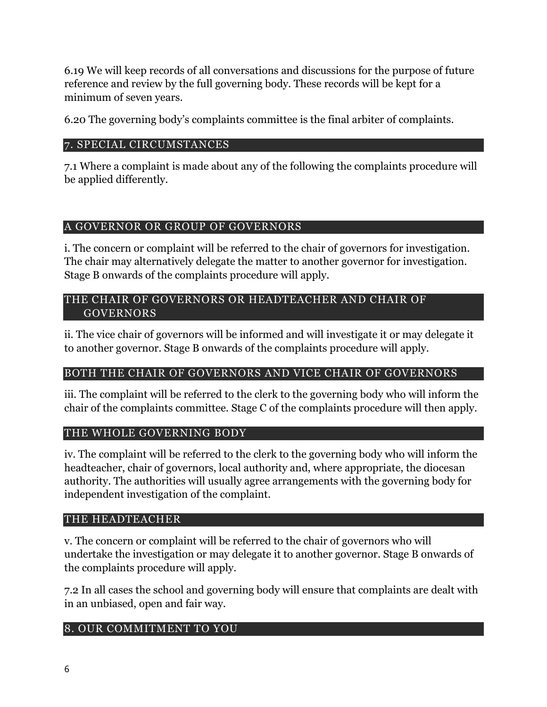6.19 We will keep records of all conversations and discussions for the purpose of future reference and review by the full governing body. These records will be kept for a minimum of seven years.

6.20 The governing body's complaints committee is the final arbiter of complaints.

## 7. SPECIAL CIRCUMSTANCES

7.1 Where a complaint is made about any of the following the complaints procedure will be applied differently.

## A GOVERNOR OR GROUP OF GOVERNORS

i. The concern or complaint will be referred to the chair of governors for investigation. The chair may alternatively delegate the matter to another governor for investigation. Stage B onwards of the complaints procedure will apply.

#### THE CHAIR OF GOVERNORS OR HEADTEACHER AND CHAIR OF GOVERNORS

ii. The vice chair of governors will be informed and will investigate it or may delegate it to another governor. Stage B onwards of the complaints procedure will apply.

# BOTH THE CHAIR OF GOVERNORS AND VICE CHAIR OF GOVERNORS

iii. The complaint will be referred to the clerk to the governing body who will inform the chair of the complaints committee. Stage C of the complaints procedure will then apply.

# THE WHOLE GOVERNING BODY

iv. The complaint will be referred to the clerk to the governing body who will inform the headteacher, chair of governors, local authority and, where appropriate, the diocesan authority. The authorities will usually agree arrangements with the governing body for independent investigation of the complaint.

## THE HEADTEACHER

v. The concern or complaint will be referred to the chair of governors who will undertake the investigation or may delegate it to another governor. Stage B onwards of the complaints procedure will apply.

7.2 In all cases the school and governing body will ensure that complaints are dealt with in an unbiased, open and fair way.

# 8. OUR COMMITMENT TO YOU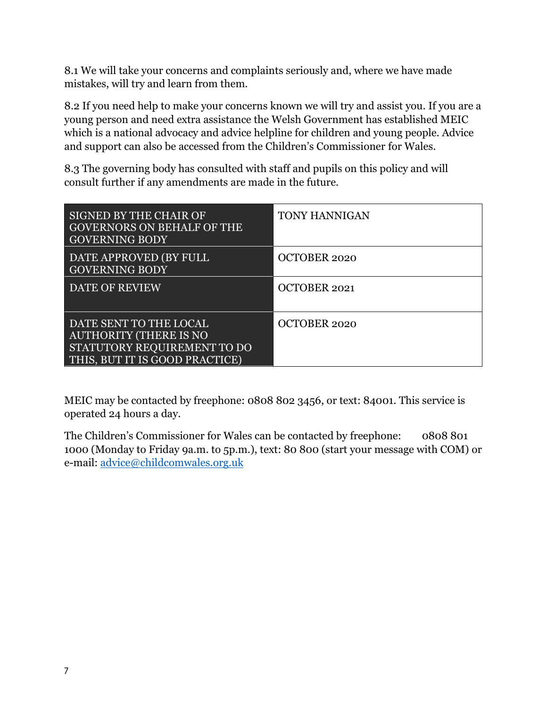8.1 We will take your concerns and complaints seriously and, where we have made mistakes, will try and learn from them.

8.2 If you need help to make your concerns known we will try and assist you. If you are a young person and need extra assistance the Welsh Government has established MEIC which is a national advocacy and advice helpline for children and young people. Advice and support can also be accessed from the Children's Commissioner for Wales.

8.3 The governing body has consulted with staff and pupils on this policy and will consult further if any amendments are made in the future.

| SIGNED BY THE CHAIR OF<br><b>GOVERNORS ON BEHALF OF THE</b><br><b>GOVERNING BODY</b>                                     | <b>TONY HANNIGAN</b> |
|--------------------------------------------------------------------------------------------------------------------------|----------------------|
| DATE APPROVED (BY FULL<br><b>GOVERNING BODY</b>                                                                          | <b>OCTOBER 2020</b>  |
| DATE OF REVIEW                                                                                                           | OCTOBER 2021         |
| DATE SENT TO THE LOCAL<br><b>AUTHORITY (THERE IS NO</b><br>STATUTORY REQUIREMENT TO DO<br>THIS, BUT IT IS GOOD PRACTICE) | <b>OCTOBER 2020</b>  |

MEIC may be contacted by freephone: 0808 802 3456, or text: 84001. This service is operated 24 hours a day.

The Children's Commissioner for Wales can be contacted by freephone: 0808 801 1000 (Monday to Friday 9a.m. to 5p.m.), text: 80 800 (start your message with COM) or e-mail: [advice@childcomwales.org.uk](mailto:advice@childcomwales.org.uk)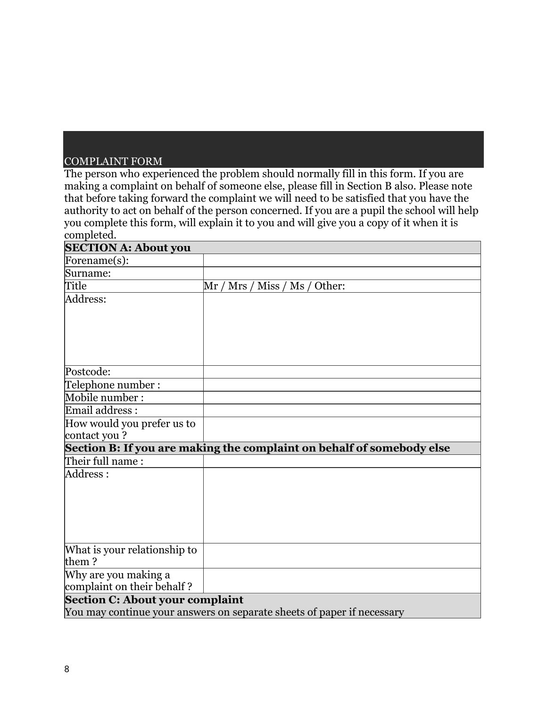## COMPLAINT FORM

The person who experienced the problem should normally fill in this form. If you are making a complaint on behalf of someone else, please fill in Section B also. Please note that before taking forward the complaint we will need to be satisfied that you have the authority to act on behalf of the person concerned. If you are a pupil the school will help you complete this form, will explain it to you and will give you a copy of it when it is completed.

| <b>SECTION A: About you</b>            |                                                                        |  |
|----------------------------------------|------------------------------------------------------------------------|--|
| Forename(s):                           |                                                                        |  |
| Surname:                               |                                                                        |  |
| Title                                  | Mrs / Miss / Ms /<br>Other:<br>Mr                                      |  |
| Address:                               |                                                                        |  |
|                                        |                                                                        |  |
|                                        |                                                                        |  |
|                                        |                                                                        |  |
| Postcode:                              |                                                                        |  |
| Telephone number:                      |                                                                        |  |
| Mobile number:                         |                                                                        |  |
| Email address :                        |                                                                        |  |
| How would you prefer us to             |                                                                        |  |
| contact you?                           |                                                                        |  |
|                                        | Section B: If you are making the complaint on behalf of somebody else  |  |
| Their full name:                       |                                                                        |  |
| Address :                              |                                                                        |  |
|                                        |                                                                        |  |
|                                        |                                                                        |  |
|                                        |                                                                        |  |
|                                        |                                                                        |  |
|                                        |                                                                        |  |
| What is your relationship to           |                                                                        |  |
| them?                                  |                                                                        |  |
| Why are you making a                   |                                                                        |  |
| complaint on their behalf?             |                                                                        |  |
| <b>Section C: About your complaint</b> |                                                                        |  |
|                                        | You may continue your answers on separate sheets of paper if necessary |  |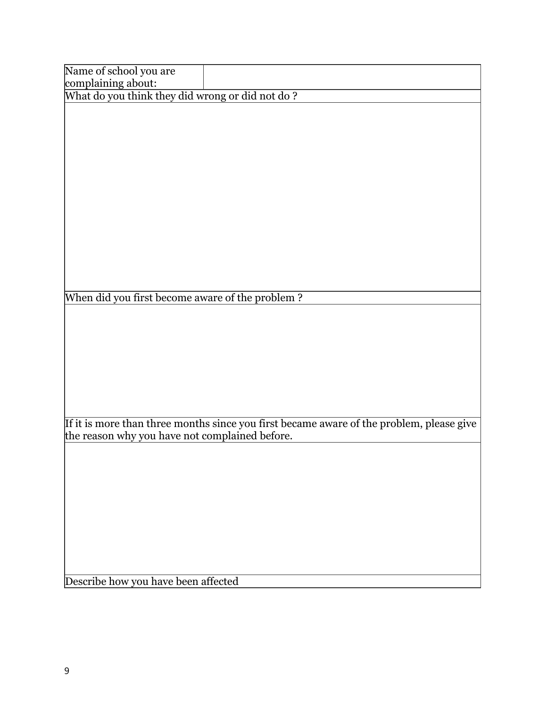| Name of school you are                          |                                                                                          |
|-------------------------------------------------|------------------------------------------------------------------------------------------|
| complaining about:                              |                                                                                          |
| What do you think they did wrong or did not do? |                                                                                          |
|                                                 |                                                                                          |
|                                                 |                                                                                          |
|                                                 |                                                                                          |
|                                                 |                                                                                          |
|                                                 |                                                                                          |
|                                                 |                                                                                          |
|                                                 |                                                                                          |
|                                                 |                                                                                          |
|                                                 |                                                                                          |
|                                                 |                                                                                          |
|                                                 |                                                                                          |
|                                                 |                                                                                          |
|                                                 |                                                                                          |
|                                                 |                                                                                          |
| When did you first become aware of the problem? |                                                                                          |
|                                                 |                                                                                          |
|                                                 |                                                                                          |
|                                                 |                                                                                          |
|                                                 |                                                                                          |
|                                                 |                                                                                          |
|                                                 |                                                                                          |
|                                                 |                                                                                          |
|                                                 |                                                                                          |
|                                                 | If it is more than three months since you first became aware of the problem, please give |
| the reason why you have not complained before.  |                                                                                          |
|                                                 |                                                                                          |
|                                                 |                                                                                          |
|                                                 |                                                                                          |
|                                                 |                                                                                          |
|                                                 |                                                                                          |
|                                                 |                                                                                          |
|                                                 |                                                                                          |
|                                                 |                                                                                          |
|                                                 |                                                                                          |
| Describe how you have been affected             |                                                                                          |
|                                                 |                                                                                          |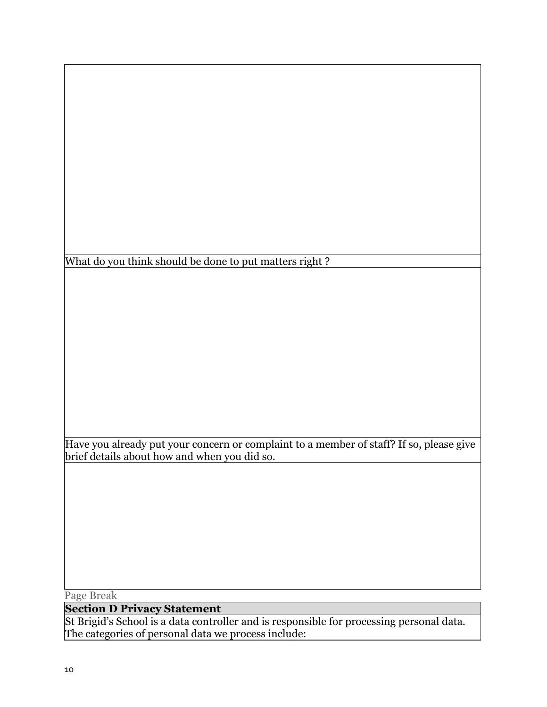What do you think should be done to put matters right?

Have you already put your concern or complaint to a member of staff? If so, please give brief details about how and when you did so.

Page Break

## **Section D Privacy Statement**

St Brigid's School is a data controller and is responsible for processing personal data. The categories of personal data we process include: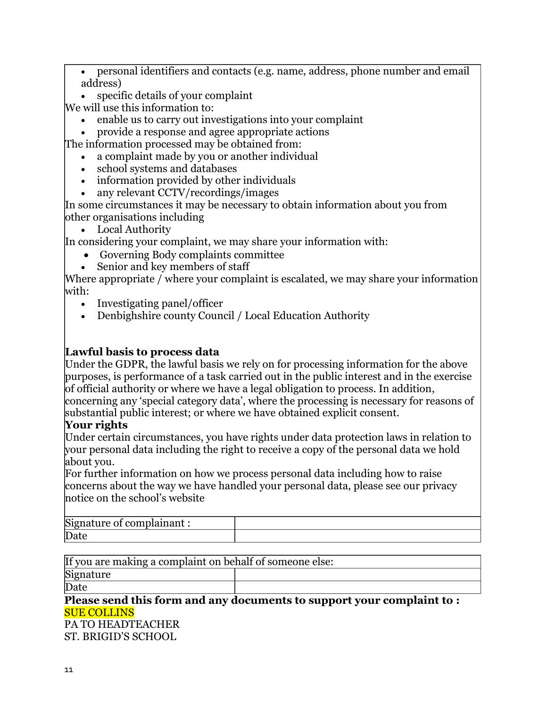• personal identifiers and contacts (e.g. name, address, phone number and email address)

• specific details of your complaint

We will use this information to:

- enable us to carry out investigations into your complaint
- provide a response and agree appropriate actions

The information processed may be obtained from:

- a complaint made by you or another individual
- school systems and databases
- information provided by other individuals
- any relevant CCTV/recordings/images

In some circumstances it may be necessary to obtain information about you from other organisations including

• Local Authority

In considering your complaint, we may share your information with:

- Governing Body complaints committee
- Senior and key members of staff

Where appropriate / where your complaint is escalated, we may share your information with:

- Investigating panel/officer
- Denbighshire county Council / Local Education Authority

#### **Lawful basis to process data**

Under the GDPR, the lawful basis we rely on for processing information for the above purposes, is performance of a task carried out in the public interest and in the exercise of official authority or where we have a legal obligation to process. In addition, concerning any 'special category data', where the processing is necessary for reasons of substantial public interest; or where we have obtained explicit consent.

## **Your rights**

Under certain circumstances, you have rights under data protection laws in relation to your personal data including the right to receive a copy of the personal data we hold about you.

For further information on how we process personal data including how to raise concerns about the way we have handled your personal data, please see our privacy notice on the school's website

| Signature of<br>$+$ complainent $\cdot$ |  |
|-----------------------------------------|--|
| Date                                    |  |

If you are making a complaint on behalf of someone else:

Signature

Date

#### **Please send this form and any documents to support your complaint to :** SUE COLLINS

PA TO HEADTEACHER ST. BRIGID'S SCHOOL